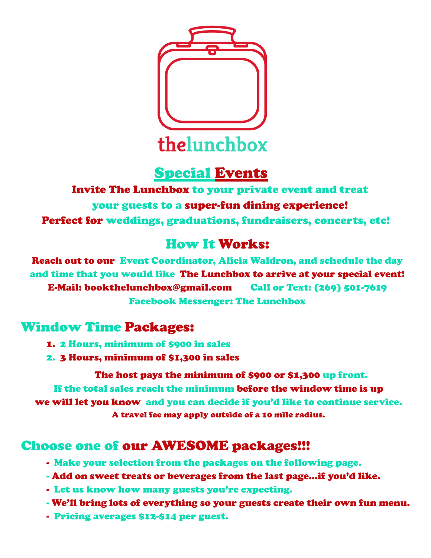

# Special Events

Invite The Lunchbox to your private event and treat your guests to a super-fun dining experience! Perfect for weddings, graduations, fundraisers, concerts, etc!

## How It Works:

Reach out to our Event Coordinator, Alicia Waldron, and schedule the day and time that you would like The Lunchbox to arrive at your special event! E-Mail: bookthelunchbox@gmail.com Call or Text: (269) 501-7619 Facebook Messenger: The Lunchbox

### Window Time Packages:

- 1. 2 Hours, minimum of \$900 in sales
- 2. 3 Hours, minimum of \$1,300 in sales

The host pays the minimum of \$900 or \$1,300 up front. If the total sales reach the minimum before the window time is up we will let you know and you can decide if you'd like to continue service. A travel fee may apply outside of a 10 mile radius.

### Choose one of our AWESOME packages!!!

- Make your selection from the packages on the following page.
- Add on sweet treats or beverages from the last page...if you'd like.
- Let us know how many guests you're expecting.
- We'll bring lots of everything so your guests create their own fun menu.
- Pricing averages \$12-\$14 per guest.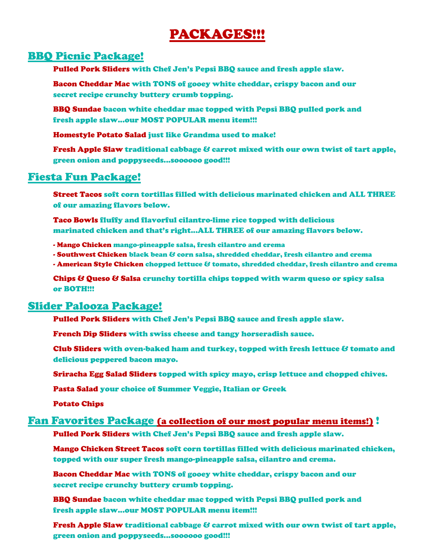## PACKAGES!!!

#### BBQ Picnic Package!

Pulled Pork Sliders with Chef Jen's Pepsi BBQ sauce and fresh apple slaw.

Bacon Cheddar Mac with TONS of gooey white cheddar, crispy bacon and our secret recipe crunchy buttery crumb topping.

BBQ Sundae bacon white cheddar mac topped with Pepsi BBQ pulled pork and fresh apple slaw...our MOST POPULAR menu item!!!

Homestyle Potato Salad just like Grandma used to make!

Fresh Apple Slaw traditional cabbage & carrot mixed with our own twist of tart apple, green onion and poppyseeds...soooooo good!!!

### Fiesta Fun Package!

Street Tacos soft corn tortillas filled with delicious marinated chicken and ALL THREE of our amazing flavors below.

Taco Bowls fluffy and flavorful cilantro-lime rice topped with delicious marinated chicken and that's right...ALL THREE of our amazing flavors below.

- Mango Chicken mango-pineapple salsa, fresh cilantro and crema
- Southwest Chicken black bean & corn salsa, shredded cheddar, fresh cilantro and crema
- American Style Chicken chopped lettuce & tomato, shredded cheddar, fresh cilantro and crema

Chips & Queso & Salsa crunchy tortilla chips topped with warm queso or spicy salsa or BOTH!!!

#### Slider Palooza Package!

Pulled Pork Sliders with Chef Jen's Pepsi BBQ sauce and fresh apple slaw.

French Dip Sliders with swiss cheese and tangy horseradish sauce.

Club Sliders with oven-baked ham and turkey, topped with fresh lettuce & tomato and delicious peppered bacon mayo.

Sriracha Egg Salad Sliders topped with spicy mayo, crisp lettuce and chopped chives.

Pasta Salad your choice of Summer Veggie, Italian or Greek

Potato Chips

#### Fan Favorites Package (a collection of our most popular menu items!) !

Pulled Pork Sliders with Chef Jen's Pepsi BBQ sauce and fresh apple slaw.

Mango Chicken Street Tacos soft corn tortillas filled with delicious marinated chicken, topped with our super fresh mango-pineapple salsa, cilantro and crema.

Bacon Cheddar Mac with TONS of gooey white cheddar, crispy bacon and our secret recipe crunchy buttery crumb topping.

BBQ Sundae bacon white cheddar mac topped with Pepsi BBQ pulled pork and fresh apple slaw...our MOST POPULAR menu item!!!

Fresh Apple Slaw traditional cabbage & carrot mixed with our own twist of tart apple, green onion and poppyseeds...soooooo good!!!